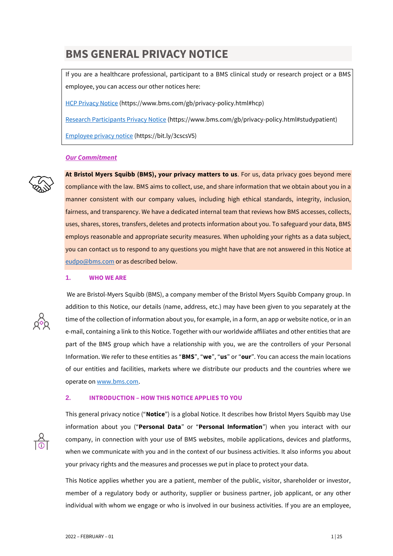# **BMS GENERAL PRIVACY NOTICE**

If you are a healthcare professional, participant to a BMS clinical study or research project or a BMS employee, you can access our other notices here:

[HCP Privacy Notice](https://www.bms.com/gb/privacy-policy.html#hcp) (https://www.bms.com/gb/privacy-policy.html#hcp)

[Research Participants Privacy Notice](https://www.bms.com/gb/privacy-policy.html#studypatient) (https://www.bms.com/gb/privacy-policy.html#studypatient)

[Employee privacy notice](https://www.bms.com/assets/bms/united-kingdom/documents/UK%20BMS%20Data%20Privacy%20Notice%20%20-%20Updated%20070121.pdf) (https://bit.ly/3cscsV5)

# *Our Commitment*



**At Bristol Myers Squibb (BMS), your privacy matters to us**. For us, data privacy goes beyond mere compliance with the law. BMS aims to collect, use, and share information that we obtain about you in a manner consistent with our company values, including high ethical standards, integrity, inclusion, fairness, and transparency. We have a dedicated internal team that reviews how BMS accesses, collects, uses, shares, stores, transfers, deletes and protects information about you. To safeguard your data, BMS employs reasonable and appropriate security measures. When upholding your rights as a data subject, you can contact us to respond to any questions you might have that are not answered in this Notice at [eudpo@bms.com](mailto:eudpo@bms.com) or as described below.

#### **1. WHO WE ARE**



We are Bristol-Myers Squibb (BMS), a company member of the Bristol Myers Squibb Company group. In addition to this Notice, our details (name, address, etc.) may have been given to you separately at the time of the collection of information about you, for example, in a form, an app or website notice, or in an e-mail, containing a link to this Notice. Together with our worldwide affiliates and other entities that are part of the BMS group which have a relationship with you, we are the controllers of your Personal Information. We refer to these entities as "**BMS**", "**we**", "**us**" or "**our**". You can access the main locations of our entities and facilities, markets where we distribute our products and the countries where we operate on [www.bms.com.](http://www.bms.com/)

# **2. INTRODUCTION – HOW THIS NOTICE APPLIES TO YOU**

This general privacy notice ("**Notice**") is a global Notice. It describes how Bristol Myers Squibb may Use information about you ("**Personal Data**" or "**Personal Information**") when you interact with our company, in connection with your use of BMS websites, mobile applications, devices and platforms, when we communicate with you and in the context of our business activities. It also informs you about your privacy rights and the measures and processes we put in place to protect your data.

This Notice applies whether you are a patient, member of the public, visitor, shareholder or investor, member of a regulatory body or authority, supplier or business partner, job applicant, or any other individual with whom we engage or who is involved in our business activities. If you are an employee,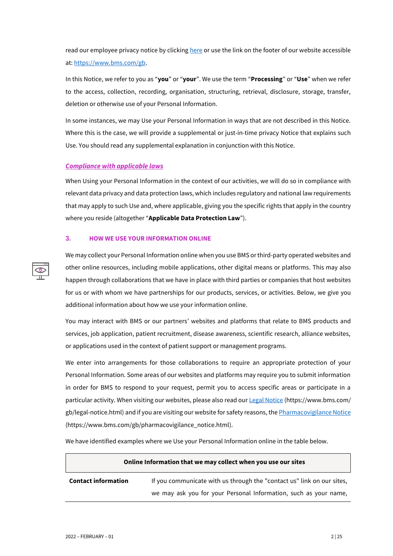read our employee privacy notice by clicking <here> or use the link on the footer of our website accessible at[: https://www.bms.com/gb.](https://www.bms.com/gb)

In this Notice, we refer to you as "**you**" or "**your**". We use the term "**Processing**" or "**Use**" when we refer to the access, collection, recording, organisation, structuring, retrieval, disclosure, storage, transfer, deletion or otherwise use of your Personal Information.

In some instances, we may Use your Personal Information in ways that are not described in this Notice. Where this is the case, we will provide a supplemental or just-in-time privacy Notice that explains such Use. You should read any supplemental explanation in conjunction with this Notice.

# *Compliance with applicable laws*

When Using your Personal Information in the context of our activities, we will do so in compliance with relevant data privacy and data protection laws, which includes regulatory and national law requirements that may apply to such Use and, where applicable, giving you the specific rights that apply in the country where you reside (altogether "**Applicable Data Protection Law**").

#### **3. HOW WE USE YOUR INFORMATION ONLINE**

We may collect your Personal Information online when you use BMS or third-party operated websites and other online resources, including mobile applications, other digital means or platforms. This may also happen through collaborations that we have in place with third parties or companies that host websites for us or with whom we have partnerships for our products, services, or activities. Below, we give you additional information about how we use your information online.

You may interact with BMS or our partners' websites and platforms that relate to BMS products and services, job application, patient recruitment, disease awareness, scientific research, alliance websites, or applications used in the context of patient support or management programs.

We enter into arrangements for those collaborations to require an appropriate protection of your Personal Information. Some areas of our websites and platforms may require you to submit information in order for BMS to respond to your request, permit you to access specific areas or participate in a particular activity. When visiting our websites, please also read ou[r Legal Notice](https://www.bms.com/gb/legal-notice.html) (https://www.bms.com/ gb/legal-notice.html) and if you are visiting our website for safety reasons, th[e Pharmacovigilance Notice](https://www.bms.com/gb/pharmacovigilance_notice.html) (https://www.bms.com/gb/pharmacovigilance\_notice.html).

We have identified examples where we Use your Personal Information online in the table below.

#### **Online Information that we may collect when you use our sites**

**Contact information** If you communicate with us through the "contact us" link on our sites, we may ask you for your Personal Information, such as your name,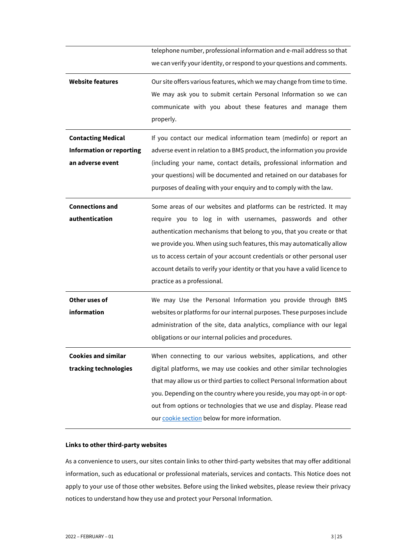|                                 | telephone number, professional information and e-mail address so that       |  |
|---------------------------------|-----------------------------------------------------------------------------|--|
|                                 | we can verify your identity, or respond to your questions and comments.     |  |
| <b>Website features</b>         | Our site offers various features, which we may change from time to time.    |  |
|                                 | We may ask you to submit certain Personal Information so we can             |  |
|                                 | communicate with you about these features and manage them                   |  |
|                                 | properly.                                                                   |  |
| <b>Contacting Medical</b>       | If you contact our medical information team (medinfo) or report an          |  |
| <b>Information or reporting</b> | adverse event in relation to a BMS product, the information you provide     |  |
| an adverse event                | (including your name, contact details, professional information and         |  |
|                                 | your questions) will be documented and retained on our databases for        |  |
|                                 | purposes of dealing with your enquiry and to comply with the law.           |  |
| <b>Connections and</b>          | Some areas of our websites and platforms can be restricted. It may          |  |
| authentication                  | require you to log in with usernames, passwords and other                   |  |
|                                 | authentication mechanisms that belong to you, that you create or that       |  |
|                                 | we provide you. When using such features, this may automatically allow      |  |
|                                 | us to access certain of your account credentials or other personal user     |  |
|                                 | account details to verify your identity or that you have a valid licence to |  |
|                                 | practice as a professional.                                                 |  |
| Other uses of                   | We may Use the Personal Information you provide through BMS                 |  |
| information                     | websites or platforms for our internal purposes. These purposes include     |  |
|                                 | administration of the site, data analytics, compliance with our legal       |  |
|                                 | obligations or our internal policies and procedures.                        |  |
| <b>Cookies and similar</b>      | When connecting to our various websites, applications, and other            |  |
| tracking technologies           | digital platforms, we may use cookies and other similar technologies        |  |
|                                 | that may allow us or third parties to collect Personal Information about    |  |
|                                 | you. Depending on the country where you reside, you may opt-in or opt-      |  |
|                                 | out from options or technologies that we use and display. Please read       |  |
|                                 | our cookie section below for more information.                              |  |

# **Links to other third-party websites**

As a convenience to users, our sites contain links to other third-party websites that may offer additional information, such as educational or professional materials, services and contacts. This Notice does not apply to your use of those other websites. Before using the linked websites, please review their privacy notices to understand how they use and protect your Personal Information.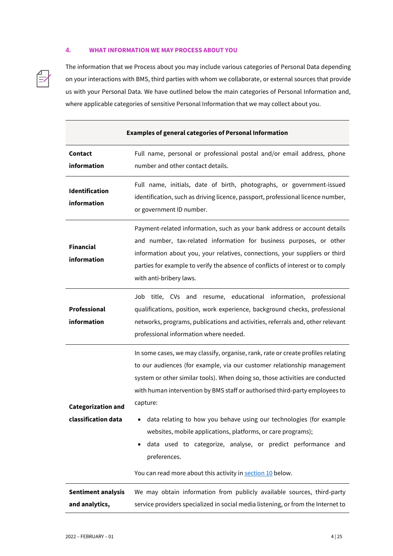# <span id="page-3-0"></span>**4. WHAT INFORMATION WE MAY PROCESS ABOUT YOU**

The information that we Process about you may include various categories of Personal Data depending on your interactions with BMS, third parties with whom we collaborate, or external sources that provide us with your Personal Data. We have outlined below the main categories of Personal Information and, where applicable categories of sensitive Personal Information that we may collect about you.

| <b>Examples of general categories of Personal Information</b> |                                                                                                                                                                                                                                                                                                                                                                                                                                                                                                                                                                                                                                   |  |  |
|---------------------------------------------------------------|-----------------------------------------------------------------------------------------------------------------------------------------------------------------------------------------------------------------------------------------------------------------------------------------------------------------------------------------------------------------------------------------------------------------------------------------------------------------------------------------------------------------------------------------------------------------------------------------------------------------------------------|--|--|
| Contact<br>information                                        | Full name, personal or professional postal and/or email address, phone<br>number and other contact details.                                                                                                                                                                                                                                                                                                                                                                                                                                                                                                                       |  |  |
| Identification<br>information                                 | Full name, initials, date of birth, photographs, or government-issued<br>identification, such as driving licence, passport, professional licence number,<br>or government ID number.                                                                                                                                                                                                                                                                                                                                                                                                                                              |  |  |
| <b>Financial</b><br>information                               | Payment-related information, such as your bank address or account details<br>and number, tax-related information for business purposes, or other<br>information about you, your relatives, connections, your suppliers or third<br>parties for example to verify the absence of conflicts of interest or to comply<br>with anti-bribery laws.                                                                                                                                                                                                                                                                                     |  |  |
| <b>Professional</b><br>information                            | title, CVs and resume, educational information,<br>Job<br>professional<br>qualifications, position, work experience, background checks, professional<br>networks, programs, publications and activities, referrals and, other relevant<br>professional information where needed.                                                                                                                                                                                                                                                                                                                                                  |  |  |
| <b>Categorization and</b><br>classification data              | In some cases, we may classify, organise, rank, rate or create profiles relating<br>to our audiences (for example, via our customer relationship management<br>system or other similar tools). When doing so, those activities are conducted<br>with human intervention by BMS staff or authorised third-party employees to<br>capture:<br>data relating to how you behave using our technologies (for example<br>websites, mobile applications, platforms, or care programs);<br>data used to categorize, analyse, or predict performance and<br>٠<br>preferences.<br>You can read more about this activity in section 10 below. |  |  |
| <b>Sentiment analysis</b><br>and analytics,                   | We may obtain information from publicly available sources, third-party<br>service providers specialized in social media listening, or from the Internet to                                                                                                                                                                                                                                                                                                                                                                                                                                                                        |  |  |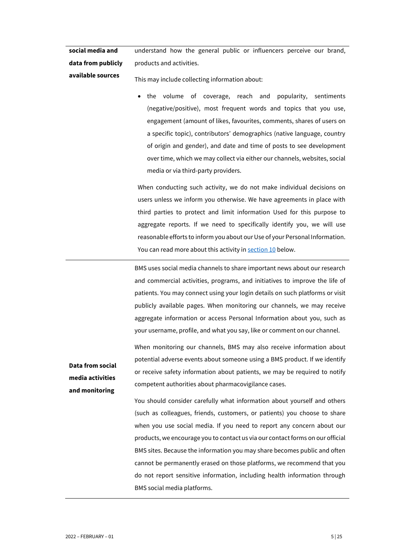**social media and data from publicly**  understand how the general public or influencers perceive our brand, products and activities.

**available sources**

This may include collecting information about:

• the volume of coverage, reach and popularity, sentiments (negative/positive), most frequent words and topics that you use, engagement (amount of likes, favourites, comments, shares of users on a specific topic), contributors' demographics (native language, country of origin and gender), and date and time of posts to see development over time, which we may collect via either our channels, websites, social media or via third-party providers.

When conducting such activity, we do not make individual decisions on users unless we inform you otherwise. We have agreements in place with third parties to protect and limit information Used for this purpose to aggregate reports. If we need to specifically identify you, we will use reasonable efforts to inform you about our Use of your Personal Information. You can read more about this activity i[n section 10](#page-16-0) below.

BMS uses social media channels to share important news about our research and commercial activities, programs, and initiatives to improve the life of patients. You may connect using your login details on such platforms or visit publicly available pages. When monitoring our channels, we may receive aggregate information or access Personal Information about you, such as your username, profile, and what you say, like or comment on our channel.

When monitoring our channels, BMS may also receive information about potential adverse events about someone using a BMS product. If we identify or receive safety information about patients, we may be required to notify competent authorities about pharmacovigilance cases.

You should consider carefully what information about yourself and others (such as colleagues, friends, customers, or patients) you choose to share when you use social media. If you need to report any concern about our products, we encourage you to contact us via our contact forms on our official BMS sites. Because the information you may share becomes public and often cannot be permanently erased on those platforms, we recommend that you do not report sensitive information, including health information through BMS social media platforms.

**Data from social media activities and monitoring**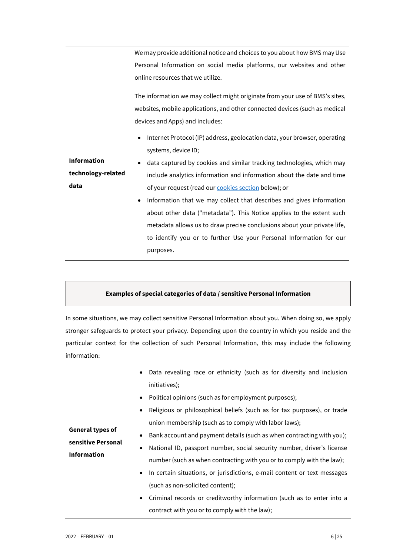|                    | We may provide additional notice and choices to you about how BMS may Use                                                                                                                      |  |  |
|--------------------|------------------------------------------------------------------------------------------------------------------------------------------------------------------------------------------------|--|--|
|                    | Personal Information on social media platforms, our websites and other                                                                                                                         |  |  |
|                    | online resources that we utilize.                                                                                                                                                              |  |  |
|                    | The information we may collect might originate from your use of BMS's sites,<br>websites, mobile applications, and other connected devices (such as medical<br>devices and Apps) and includes: |  |  |
|                    | Internet Protocol (IP) address, geolocation data, your browser, operating<br>$\bullet$<br>systems, device ID;                                                                                  |  |  |
| <b>Information</b> | data captured by cookies and similar tracking technologies, which may                                                                                                                          |  |  |
| technology-related | include analytics information and information about the date and time                                                                                                                          |  |  |
| data               | of your request (read our <b>cookies section</b> below); or                                                                                                                                    |  |  |
|                    | Information that we may collect that describes and gives information<br>$\bullet$                                                                                                              |  |  |
|                    | about other data ("metadata"). This Notice applies to the extent such                                                                                                                          |  |  |
|                    | metadata allows us to draw precise conclusions about your private life,                                                                                                                        |  |  |
|                    | to identify you or to further Use your Personal Information for our                                                                                                                            |  |  |
|                    | purposes.                                                                                                                                                                                      |  |  |

# **Examples of special categories of data / sensitive Personal Information**

In some situations, we may collect sensitive Personal Information about you. When doing so, we apply stronger safeguards to protect your privacy. Depending upon the country in which you reside and the particular context for the collection of such Personal Information, this may include the following information:

|                                          | Data revealing race or ethnicity (such as for diversity and inclusion               |
|------------------------------------------|-------------------------------------------------------------------------------------|
|                                          | initiatives);                                                                       |
|                                          | Political opinions (such as for employment purposes);<br>$\bullet$                  |
|                                          | Religious or philosophical beliefs (such as for tax purposes), or trade             |
|                                          | union membership (such as to comply with labor laws);                               |
| <b>General types of</b>                  | Bank account and payment details (such as when contracting with you);               |
| sensitive Personal<br><b>Information</b> | National ID, passport number, social security number, driver's license<br>$\bullet$ |
|                                          | number (such as when contracting with you or to comply with the law);               |
|                                          | In certain situations, or jurisdictions, e-mail content or text messages            |
|                                          | (such as non-solicited content);                                                    |
|                                          | Criminal records or creditworthy information (such as to enter into a               |
|                                          | contract with you or to comply with the law);                                       |
|                                          |                                                                                     |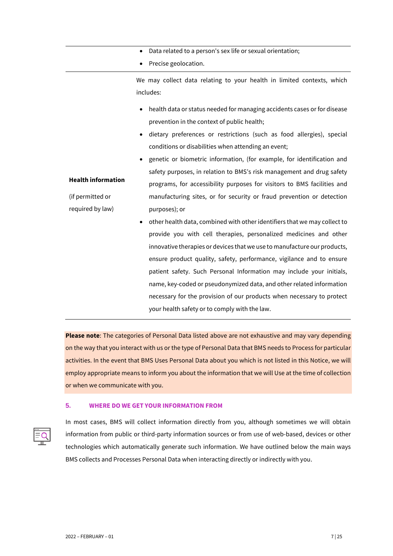- Data related to a person's sex life or sexual orientation;
- Precise geolocation.

We may collect data relating to your health in limited contexts, which includes:

- health data or status needed for managing accidents cases or for disease prevention in the context of public health;
- dietary preferences or restrictions (such as food allergies), special conditions or disabilities when attending an event;
- **Health information** • genetic or biometric information, (for example, for identification and safety purposes, in relation to BMS's risk management and drug safety programs, for accessibility purposes for visitors to BMS facilities and manufacturing sites, or for security or fraud prevention or detection purposes); or
	- other health data, combined with other identifiers that we may collect to provide you with cell therapies, personalized medicines and other innovative therapies or devices that we use to manufacture our products, ensure product quality, safety, performance, vigilance and to ensure patient safety. Such Personal Information may include your initials, name, key-coded or pseudonymized data, and other related information necessary for the provision of our products when necessary to protect your health safety or to comply with the law.

**Please note**: The categories of Personal Data listed above are not exhaustive and may vary depending on the way that you interact with us or the type of Personal Data that BMS needs to Process for particular activities. In the event that BMS Uses Personal Data about you which is not listed in this Notice, we will employ appropriate means to inform you about the information that we will Use at the time of collection or when we communicate with you.

# **5. WHERE DO WE GET YOUR INFORMATION FROM**



In most cases, BMS will collect information directly from you, although sometimes we will obtain information from public or third-party information sources or from use of web-based, devices or other technologies which automatically generate such information. We have outlined below the main ways BMS collects and Processes Personal Data when interacting directly or indirectly with you.

(if permitted or required by law)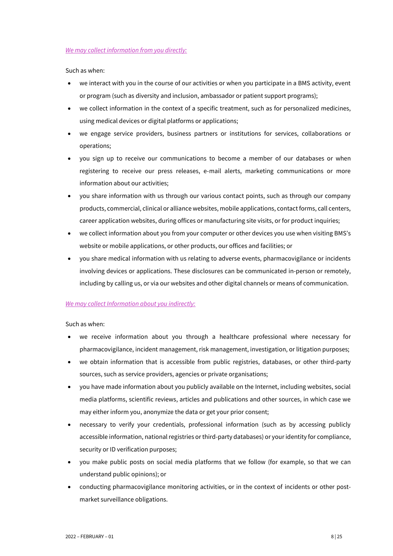# *We may collect information from you directly:*

Such as when:

- we interact with you in the course of our activities or when you participate in a BMS activity, event or program (such as diversity and inclusion, ambassador or patient support programs);
- we collect information in the context of a specific treatment, such as for personalized medicines, using medical devices or digital platforms or applications;
- we engage service providers, business partners or institutions for services, collaborations or operations;
- you sign up to receive our communications to become a member of our databases or when registering to receive our press releases, e-mail alerts, marketing communications or more information about our activities;
- you share information with us through our various contact points, such as through our company products, commercial, clinical or alliance websites, mobile applications, contact forms, call centers, career application websites, during offices or manufacturing site visits, or for product inquiries;
- we collect information about you from your computer or other devices you use when visiting BMS's website or mobile applications, or other products, our offices and facilities; or
- you share medical information with us relating to adverse events, pharmacovigilance or incidents involving devices or applications. These disclosures can be communicated in-person or remotely, including by calling us, or via our websites and other digital channels or means of communication.

# *We may collect Information about you indirectly:*

Such as when:

- we receive information about you through a healthcare professional where necessary for pharmacovigilance, incident management, risk management, investigation, or litigation purposes;
- we obtain information that is accessible from public registries, databases, or other third-party sources, such as service providers, agencies or private organisations;
- you have made information about you publicly available on the Internet, including websites, social media platforms, scientific reviews, articles and publications and other sources, in which case we may either inform you, anonymize the data or get your prior consent;
- necessary to verify your credentials, professional information (such as by accessing publicly accessible information, national registries or third-party databases) or your identity for compliance, security or ID verification purposes;
- you make public posts on social media platforms that we follow (for example, so that we can understand public opinions); or
- conducting pharmacovigilance monitoring activities, or in the context of incidents or other postmarket surveillance obligations.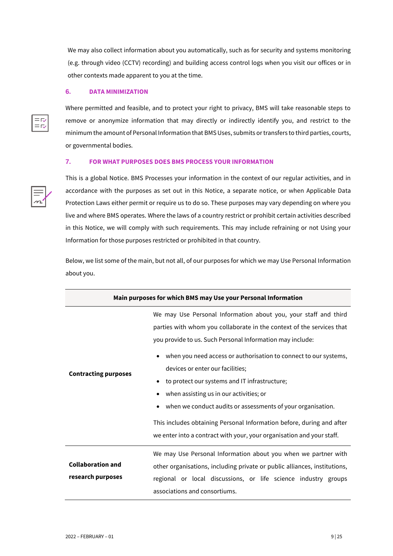We may also collect information about you automatically, such as for security and systems monitoring (e.g. through video (CCTV) recording) and building access control logs when you visit our offices or in other contexts made apparent to you at the time.

## **6. DATA MINIMIZATION**

Where permitted and feasible, and to protect your right to privacy, BMS will take reasonable steps to remove or anonymize information that may directly or indirectly identify you, and restrict to the minimum the amount of Personal Information that BMS Uses, submits or transfers to third parties, courts, or governmental bodies.

# **7. FOR WHAT PURPOSES DOES BMS PROCESS YOUR INFORMATION**



This is a global Notice. BMS Processes your information in the context of our regular activities, and in accordance with the purposes as set out in this Notice, a separate notice, or when Applicable Data Protection Laws either permit or require us to do so. These purposes may vary depending on where you live and where BMS operates. Where the laws of a country restrict or prohibit certain activities described in this Notice, we will comply with such requirements. This may include refraining or not Using your Information for those purposes restricted or prohibited in that country.

Below, we list some of the main, but not all, of our purposes for which we may Use Personal Information about you.

| Main purposes for which BMS may Use your Personal Information |                                                                                                                                          |  |
|---------------------------------------------------------------|------------------------------------------------------------------------------------------------------------------------------------------|--|
|                                                               | We may Use Personal Information about you, your staff and third<br>parties with whom you collaborate in the context of the services that |  |
|                                                               | you provide to us. Such Personal Information may include:                                                                                |  |
|                                                               | when you need access or authorisation to connect to our systems,<br>$\bullet$                                                            |  |
| <b>Contracting purposes</b>                                   | devices or enter our facilities;                                                                                                         |  |
|                                                               | to protect our systems and IT infrastructure;<br>٠                                                                                       |  |
|                                                               | when assisting us in our activities; or                                                                                                  |  |
|                                                               | when we conduct audits or assessments of your organisation.                                                                              |  |
|                                                               | This includes obtaining Personal Information before, during and after                                                                    |  |
|                                                               | we enter into a contract with your, your organisation and your staff.                                                                    |  |
|                                                               | We may Use Personal Information about you when we partner with                                                                           |  |
| <b>Collaboration and</b>                                      | other organisations, including private or public alliances, institutions,                                                                |  |
| research purposes                                             | regional or local discussions, or life science industry groups                                                                           |  |
|                                                               | associations and consortiums.                                                                                                            |  |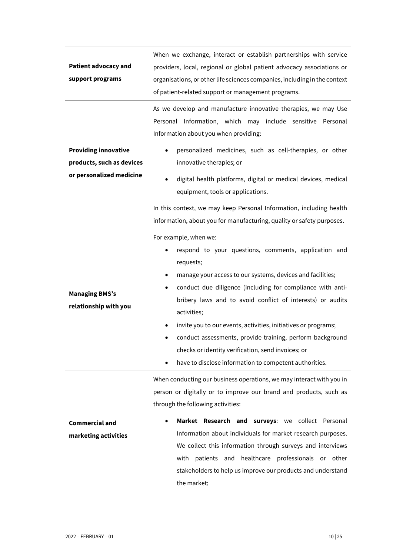| <b>Patient advocacy and</b><br>support programs          | When we exchange, interact or establish partnerships with service<br>providers, local, regional or global patient advocacy associations or<br>organisations, or other life sciences companies, including in the context<br>of patient-related support or management programs.                                                                                                                                                                                                                                                                                                     |  |  |
|----------------------------------------------------------|-----------------------------------------------------------------------------------------------------------------------------------------------------------------------------------------------------------------------------------------------------------------------------------------------------------------------------------------------------------------------------------------------------------------------------------------------------------------------------------------------------------------------------------------------------------------------------------|--|--|
|                                                          | As we develop and manufacture innovative therapies, we may Use<br>Information, which may include sensitive Personal<br>Personal<br>Information about you when providing:                                                                                                                                                                                                                                                                                                                                                                                                          |  |  |
| <b>Providing innovative</b><br>products, such as devices | personalized medicines, such as cell-therapies, or other<br>$\bullet$<br>innovative therapies; or                                                                                                                                                                                                                                                                                                                                                                                                                                                                                 |  |  |
| or personalized medicine                                 | digital health platforms, digital or medical devices, medical<br>$\bullet$<br>equipment, tools or applications.                                                                                                                                                                                                                                                                                                                                                                                                                                                                   |  |  |
|                                                          | In this context, we may keep Personal Information, including health<br>information, about you for manufacturing, quality or safety purposes.                                                                                                                                                                                                                                                                                                                                                                                                                                      |  |  |
| <b>Managing BMS's</b><br>relationship with you           | For example, when we:<br>respond to your questions, comments, application and<br>requests;<br>manage your access to our systems, devices and facilities;<br>٠<br>conduct due diligence (including for compliance with anti-<br>$\bullet$<br>bribery laws and to avoid conflict of interests) or audits<br>activities;<br>invite you to our events, activities, initiatives or programs;<br>$\bullet$<br>conduct assessments, provide training, perform background<br>checks or identity verification, send invoices; or<br>have to disclose information to competent authorities. |  |  |
| <b>Commercial and</b><br>marketing activities            | When conducting our business operations, we may interact with you in<br>person or digitally or to improve our brand and products, such as<br>through the following activities:<br>Market Research and surveys: we collect Personal<br>Information about individuals for market research purposes.<br>We collect this information through surveys and interviews<br>with patients and<br>healthcare professionals or other<br>stakeholders to help us improve our products and understand<br>the market;                                                                           |  |  |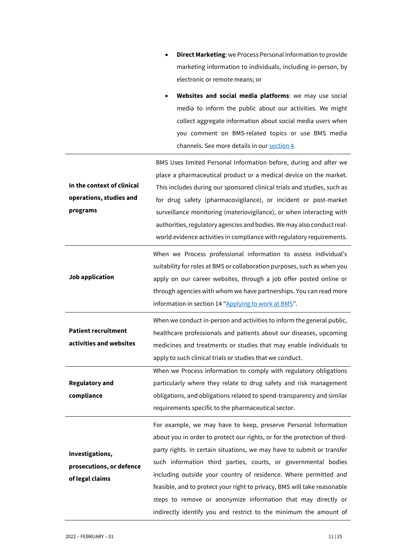- **Direct Marketing**: we Process Personal Information to provide marketing information to individuals, including in-person, by electronic or remote means; or
- **Websites and social media platforms**: we may use social media to inform the public about our activities. We might collect aggregate information about social media users when you comment on BMS-related topics or use BMS media channels. See more details in our [section 4.](#page-3-0)

|                            | BMS Uses limited Personal Information before, during and after we         |
|----------------------------|---------------------------------------------------------------------------|
|                            | place a pharmaceutical product or a medical device on the market.         |
| In the context of clinical | This includes during our sponsored clinical trials and studies, such as   |
| operations, studies and    | for drug safety (pharmacovigilance), or incident or post-market           |
| programs                   | surveillance monitoring (materiovigilance), or when interacting with      |
|                            | authorities, regulatory agencies and bodies. We may also conduct real-    |
|                            | world evidence activities in compliance with regulatory requirements.     |
|                            | When we Process professional information to assess individual's           |
|                            | suitability for roles at BMS or collaboration purposes, such as when you  |
| Job application            | apply on our career websites, through a job offer posted online or        |
|                            | through agencies with whom we have partnerships. You can read more        |
|                            | information in section 14 "Applying to work at BMS".                      |
|                            | When we conduct in-person and activities to inform the general public,    |
| <b>Patient recruitment</b> | healthcare professionals and patients about our diseases, upcoming        |
| activities and websites    | medicines and treatments or studies that may enable individuals to        |
|                            | apply to such clinical trials or studies that we conduct.                 |
|                            | When we Process information to comply with regulatory obligations         |
| <b>Regulatory and</b>      | particularly where they relate to drug safety and risk management         |
| compliance                 | obligations, and obligations related to spend-transparency and similar    |
|                            | requirements specific to the pharmaceutical sector.                       |
|                            | For example, we may have to keep, preserve Personal Information           |
|                            | about you in order to protect our rights, or for the protection of third- |
| Investigations,            | party rights. In certain situations, we may have to submit or transfer    |
| prosecutions, or defence   | such information third parties, courts, or governmental bodies            |
| of legal claims            | including outside your country of residence. Where permitted and          |
|                            | feasible, and to protect your right to privacy, BMS will take reasonable  |
|                            | steps to remove or anonymize information that may directly or             |
|                            | indirectly identify you and restrict to the minimum the amount of         |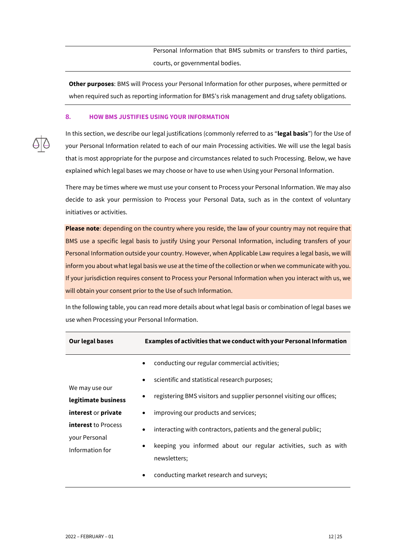Personal Information that BMS submits or transfers to third parties, courts, or governmental bodies.

**Other purposes**: BMS will Process your Personal Information for other purposes, where permitted or when required such as reporting information for BMS's risk management and drug safety obligations.

# **8. HOW BMS JUSTIFIES USING YOUR INFORMATION**

In this section, we describe our legal justifications (commonly referred to as "**legal basis**") for the Use of your Personal Information related to each of our main Processing activities. We will use the legal basis that is most appropriate for the purpose and circumstances related to such Processing. Below, we have explained which legal bases we may choose or have to use when Using your Personal Information.

There may be times where we must use your consent to Process your Personal Information. We may also decide to ask your permission to Process your Personal Data, such as in the context of voluntary initiatives or activities.

**Please note**: depending on the country where you reside, the law of your country may not require that BMS use a specific legal basis to justify Using your Personal Information, including transfers of your Personal Information outside your country. However, when Applicable Law requires a legal basis, we will inform you about what legal basis we use at the time of the collection or when we communicate with you. If your jurisdiction requires consent to Process your Personal Information when you interact with us, we will obtain your consent prior to the Use of such Information.

In the following table, you can read more details about what legal basis or combination of legal bases we use when Processing your Personal Information.

| Our legal bases                                                | Examples of activities that we conduct with your Personal Information |                                                                                                                                                   |  |
|----------------------------------------------------------------|-----------------------------------------------------------------------|---------------------------------------------------------------------------------------------------------------------------------------------------|--|
|                                                                | $\bullet$                                                             | conducting our regular commercial activities;                                                                                                     |  |
| We may use our                                                 | $\bullet$                                                             | scientific and statistical research purposes;                                                                                                     |  |
| legitimate business                                            |                                                                       | registering BMS visitors and supplier personnel visiting our offices;                                                                             |  |
| interest or private                                            | $\bullet$                                                             | improving our products and services;                                                                                                              |  |
| <b>interest</b> to Process<br>your Personal<br>Information for | $\bullet$<br>$\bullet$                                                | interacting with contractors, patients and the general public;<br>keeping you informed about our regular activities, such as with<br>newsletters; |  |
|                                                                | ٠                                                                     | conducting market research and surveys;                                                                                                           |  |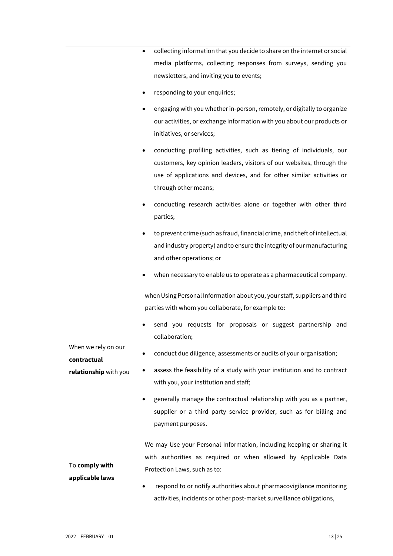| • collecting information that you decide to share on the internet or social |  |  |
|-----------------------------------------------------------------------------|--|--|
| media platforms, collecting responses from surveys, sending you             |  |  |
| newsletters, and inviting you to events;                                    |  |  |

- responding to your enquiries;
- engaging with you whether in-person, remotely, or digitally to organize our activities, or exchange information with you about our products or initiatives, or services;
- conducting profiling activities, such as tiering of individuals, our customers, key opinion leaders, visitors of our websites, through the use of applications and devices, and for other similar activities or through other means;
- conducting research activities alone or together with other third parties;
- to prevent crime (such as fraud, financial crime, and theft of intellectual and industry property) and to ensure the integrity of our manufacturing and other operations; or
- when necessary to enable us to operate as a pharmaceutical company.

when Using Personal Information about you, your staff, suppliers and third parties with whom you collaborate, for example to:

send you requests for proposals or suggest partnership and collaboration;

|                                    | $\bullet$ | generally manage the contractual relationship with you as a partner,<br>supplier or a third party service provider, such as for billing and |
|------------------------------------|-----------|---------------------------------------------------------------------------------------------------------------------------------------------|
|                                    |           |                                                                                                                                             |
|                                    |           | with you, your institution and staff;                                                                                                       |
| relationship with you              |           | assess the feasibility of a study with your institution and to contract                                                                     |
| when we rely on our<br>contractual | $\bullet$ | conduct due diligence, assessments or audits of your organisation;                                                                          |

|                       | We may Use your Personal Information, including keeping or sharing it |  |
|-----------------------|-----------------------------------------------------------------------|--|
|                       | with authorities as required or when allowed by Applicable Data       |  |
| To <b>comply with</b> | Protection Laws, such as to:                                          |  |
| applicable laws       |                                                                       |  |

• respond to or notify authorities about pharmacovigilance monitoring activities, incidents or other post-market surveillance obligations,

When we rely on the control of the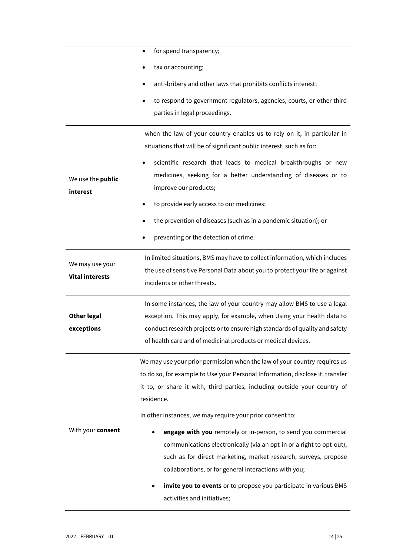|                          | for spend transparency;<br>$\bullet$                                          |
|--------------------------|-------------------------------------------------------------------------------|
|                          | tax or accounting;                                                            |
|                          | anti-bribery and other laws that prohibits conflicts interest;                |
|                          | to respond to government regulators, agencies, courts, or other third         |
|                          | parties in legal proceedings.                                                 |
|                          | when the law of your country enables us to rely on it, in particular in       |
|                          | situations that will be of significant public interest, such as for:          |
|                          | scientific research that leads to medical breakthroughs or new                |
| We use the <b>public</b> | medicines, seeking for a better understanding of diseases or to               |
| interest                 | improve our products;                                                         |
|                          | to provide early access to our medicines;                                     |
|                          | the prevention of diseases (such as in a pandemic situation); or              |
|                          | preventing or the detection of crime.                                         |
|                          | In limited situations, BMS may have to collect information, which includes    |
| We may use your          | the use of sensitive Personal Data about you to protect your life or against  |
| <b>Vital interests</b>   | incidents or other threats.                                                   |
|                          | In some instances, the law of your country may allow BMS to use a legal       |
| <b>Other legal</b>       | exception. This may apply, for example, when Using your health data to        |
| exceptions               | conduct research projects or to ensure high standards of quality and safety   |
|                          | of health care and of medicinal products or medical devices.                  |
|                          | We may use your prior permission when the law of your country requires us     |
|                          | to do so, for example to Use your Personal Information, disclose it, transfer |
|                          | it to, or share it with, third parties, including outside your country of     |
|                          | residence.                                                                    |
|                          | In other instances, we may require your prior consent to:                     |
| With your consent        | engage with you remotely or in-person, to send you commercial                 |
|                          | communications electronically (via an opt-in or a right to opt-out),          |
|                          | such as for direct marketing, market research, surveys, propose               |
|                          | collaborations, or for general interactions with you;                         |
|                          | invite you to events or to propose you participate in various BMS             |
|                          | activities and initiatives;                                                   |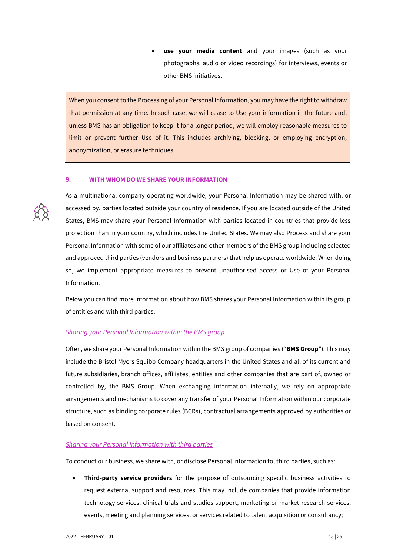• **use your media content** and your images (such as your photographs, audio or video recordings) for interviews, events or other BMS initiatives.

When you consent to the Processing of your Personal Information, you may have the right to withdraw that permission at any time. In such case, we will cease to Use your information in the future and, unless BMS has an obligation to keep it for a longer period, we will employ reasonable measures to limit or prevent further Use of it. This includes archiving, blocking, or employing encryption, anonymization, or erasure techniques.

# **9. WITH WHOM DO WE SHARE YOUR INFORMATION**



As a multinational company operating worldwide, your Personal Information may be shared with, or accessed by, parties located outside your country of residence. If you are located outside of the United States, BMS may share your Personal Information with parties located in countries that provide less protection than in your country, which includes the United States. We may also Process and share your Personal Information with some of our affiliates and other members of the BMS group including selected and approved third parties (vendors and business partners) that help us operate worldwide. When doing so, we implement appropriate measures to prevent unauthorised access or Use of your Personal Information.

Below you can find more information about how BMS shares your Personal Information within its group of entities and with third parties.

# *Sharing your Personal Information within the BMS group*

Often, we share your Personal Information within the BMS group of companies ("**BMS Group**"). This may include the Bristol Myers Squibb Company headquarters in the United States and all of its current and future subsidiaries, branch offices, affiliates, entities and other companies that are part of, owned or controlled by, the BMS Group. When exchanging information internally, we rely on appropriate arrangements and mechanisms to cover any transfer of your Personal Information within our corporate structure, such as binding corporate rules (BCRs), contractual arrangements approved by authorities or based on consent.

# *Sharing your Personal Information with third parties*

To conduct our business, we share with, or disclose Personal Information to, third parties, such as:

• **Third-party service providers** for the purpose of outsourcing specific business activities to request external support and resources. This may include companies that provide information technology services, clinical trials and studies support, marketing or market research services, events, meeting and planning services, or services related to talent acquisition or consultancy;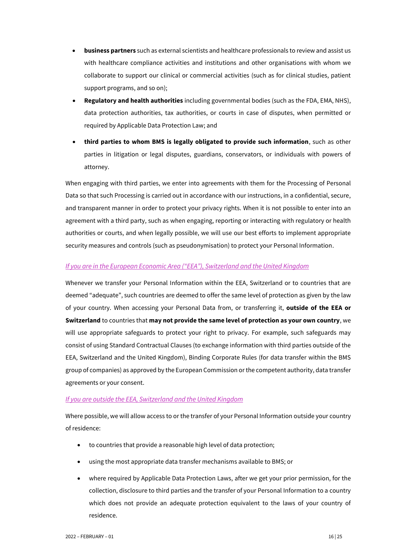- **business partners** such as external scientists and healthcare professionals to review and assist us with healthcare compliance activities and institutions and other organisations with whom we collaborate to support our clinical or commercial activities (such as for clinical studies, patient support programs, and so on);
- **Regulatory and health authorities** including governmental bodies (such as the FDA, EMA, NHS), data protection authorities, tax authorities, or courts in case of disputes, when permitted or required by Applicable Data Protection Law; and
- **third parties to whom BMS is legally obligated to provide such information**, such as other parties in litigation or legal disputes, guardians, conservators, or individuals with powers of attorney.

When engaging with third parties, we enter into agreements with them for the Processing of Personal Data so that such Processing is carried out in accordance with our instructions, in a confidential, secure, and transparent manner in order to protect your privacy rights. When it is not possible to enter into an agreement with a third party, such as when engaging, reporting or interacting with regulatory or health authorities or courts, and when legally possible, we will use our best efforts to implement appropriate security measures and controls (such as pseudonymisation) to protect your Personal Information.

# *If you are in the European Economic Area ("EEA"), Switzerland and the United Kingdom*

Whenever we transfer your Personal Information within the EEA, Switzerland or to countries that are deemed "adequate", such countries are deemed to offer the same level of protection as given by the law of your country. When accessing your Personal Data from, or transferring it, **outside of the EEA or Switzerland** to countries that **may not provide the same level of protection as your own country**, we will use appropriate safeguards to protect your right to privacy. For example, such safeguards may consist of using Standard Contractual Clauses (to exchange information with third parties outside of the EEA, Switzerland and the United Kingdom), Binding Corporate Rules (for data transfer within the BMS group of companies) as approved by the European Commission or the competent authority, data transfer agreements or your consent.

# *If you are outside the EEA, Switzerland and the United Kingdom*

Where possible, we will allow access to or the transfer of your Personal Information outside your country of residence:

- to countries that provide a reasonable high level of data protection;
- using the most appropriate data transfer mechanisms available to BMS; or
- where required by Applicable Data Protection Laws, after we get your prior permission, for the collection, disclosure to third parties and the transfer of your Personal Information to a country which does not provide an adequate protection equivalent to the laws of your country of residence.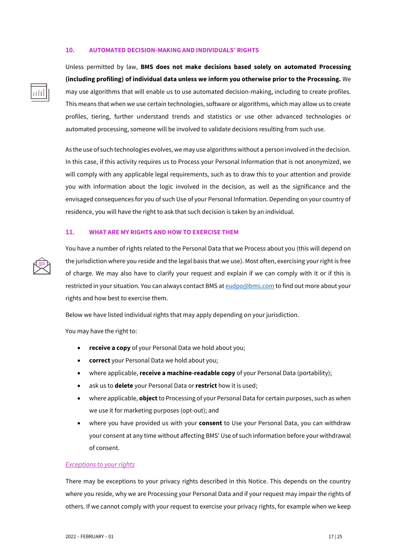#### <span id="page-16-0"></span>**10. AUTOMATED DECISION-MAKING AND INDIVIDUALS' RIGHTS**



Unless permitted by law, **BMS does not make decisions based solely on automated Processing (including profiling) of individual data unless we inform you otherwise prior to the Processing.** We may use algorithms that will enable us to use automated decision-making, including to create profiles. This means that when we use certain technologies, software or algorithms, which may allow us to create profiles, tiering, further understand trends and statistics or use other advanced technologies or automated processing, someone will be involved to validate decisions resulting from such use.

As the use of such technologies evolves, we may use algorithms without a person involved in the decision. In this case, if this activity requires us to Process your Personal Information that is not anonymized, we will comply with any applicable legal requirements, such as to draw this to your attention and provide you with information about the logic involved in the decision, as well as the significance and the envisaged consequences for you of such Use of your Personal Information. Depending on your country of residence, you will have the right to ask that such decision is taken by an individual.

### **11. WHAT ARE MY RIGHTS AND HOW TO EXERCISE THEM**



You have a number of rights related to the Personal Data that we Process about you (this will depend on the jurisdiction where you reside and the legal basis that we use). Most often, exercising your right is free of charge. We may also have to clarify your request and explain if we can comply with it or if this is restricted in your situation. You can always contact BMS a[t eudpo@bms.com](mailto:eudpo@bms.com) to find out more about your rights and how best to exercise them.

Below we have listed individual rights that may apply depending on your jurisdiction.

You may have the right to:

- **receive a copy** of your Personal Data we hold about you;
- **correct** your Personal Data we hold about you;
- where applicable, **receive a machine-readable copy** of your Personal Data (portability);
- ask us to **delete** your Personal Data or **restrict** how it is used;
- where applicable, **object**to Processing of your Personal Data for certain purposes, such as when we use it for marketing purposes (opt-out); and
- where you have provided us with your **consent** to Use your Personal Data, you can withdraw your consent at any time without affecting BMS' Use of such information before your withdrawal of consent.

#### *Exceptions to your rights*

There may be exceptions to your privacy rights described in this Notice. This depends on the country where you reside, why we are Processing your Personal Data and if your request may impair the rights of others. If we cannot comply with your request to exercise your privacy rights, for example when we keep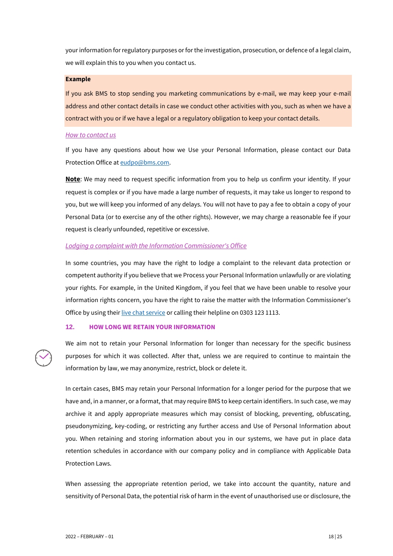your information for regulatory purposes orfor the investigation, prosecution, or defence of a legal claim, we will explain this to you when you contact us.

#### **Example**

If you ask BMS to stop sending you marketing communications by e-mail, we may keep your e-mail address and other contact details in case we conduct other activities with you, such as when we have a contract with you or if we have a legal or a regulatory obligation to keep your contact details.

## *How to contact us*

If you have any questions about how we Use your Personal Information, please contact our Data Protection Office a[t eudpo@bms.com.](mailto:eudpo@bms.com)

**Note**: We may need to request specific information from you to help us confirm your identity. If your request is complex or if you have made a large number of requests, it may take us longer to respond to you, but we will keep you informed of any delays. You will not have to pay a fee to obtain a copy of your Personal Data (or to exercise any of the other rights). However, we may charge a reasonable fee if your request is clearly unfounded, repetitive or excessive.

# *Lodging a complaint with the Information Commissioner's Office*

In some countries, you may have the right to lodge a complaint to the relevant data protection or competent authority if you believe that we Process your Personal Information unlawfully or are violating your rights. For example, in the United Kingdom, if you feel that we have been unable to resolve your information rights concern, you have the right to raise the matter with the Information Commissioner's Office by using their [live chat service](https://ico.org.uk/global/contact-us/live-chat) or calling their helpline on 0303 123 1113.

# **12. HOW LONG WE RETAIN YOUR INFORMATION**

We aim not to retain your Personal Information for longer than necessary for the specific business purposes for which it was collected. After that, unless we are required to continue to maintain the information by law, we may anonymize, restrict, block or delete it.

In certain cases, BMS may retain your Personal Information for a longer period for the purpose that we have and, in a manner, or a format, that may require BMS to keep certain identifiers. In such case, we may archive it and apply appropriate measures which may consist of blocking, preventing, obfuscating, pseudonymizing, key-coding, or restricting any further access and Use of Personal Information about you. When retaining and storing information about you in our systems, we have put in place data retention schedules in accordance with our company policy and in compliance with Applicable Data Protection Laws.

When assessing the appropriate retention period, we take into account the quantity, nature and sensitivity of Personal Data, the potential risk of harm in the event of unauthorised use or disclosure, the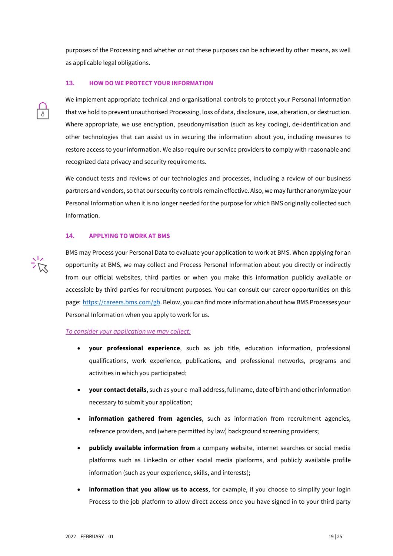purposes of the Processing and whether or not these purposes can be achieved by other means, as well as applicable legal obligations.

# **13. HOW DO WE PROTECT YOUR INFORMATION**

We implement appropriate technical and organisational controls to protect your Personal Information that we hold to prevent unauthorised Processing, loss of data, disclosure, use, alteration, or destruction. Where appropriate, we use encryption, pseudonymisation (such as key coding), de-identification and other technologies that can assist us in securing the information about you, including measures to restore access to your information. We also require our service providers to comply with reasonable and recognized data privacy and security requirements.

We conduct tests and reviews of our technologies and processes, including a review of our business partners and vendors, so that our security controls remain effective. Also, we may further anonymize your Personal Information when it is no longer needed for the purpose for which BMS originally collected such Information.

# <span id="page-18-0"></span>**14. APPLYING TO WORK AT BMS**

BMS may Process your Personal Data to evaluate your application to work at BMS. When applying for an opportunity at BMS, we may collect and Process Personal Information about you directly or indirectly from our official websites, third parties or when you make this information publicly available or accessible by third parties for recruitment purposes. You can consult our career opportunities on this page: [https://careers.bms.com/gb.](https://careers.bms.com/gb) Below, you can find more information about how BMS Processes your Personal Information when you apply to work for us.

# *To consider your application we may collect:*

- **your professional experience**, such as job title, education information, professional qualifications, work experience, publications, and professional networks, programs and activities in which you participated;
- **your contact details**, such as your e-mail address, full name, date of birth and other information necessary to submit your application;
- **information gathered from agencies**, such as information from recruitment agencies, reference providers, and (where permitted by law) background screening providers;
- **publicly available information from** a company website, internet searches or social media platforms such as LinkedIn or other social media platforms, and publicly available profile information (such as your experience, skills, and interests);
- **information that you allow us to access**, for example, if you choose to simplify your login Process to the job platform to allow direct access once you have signed in to your third party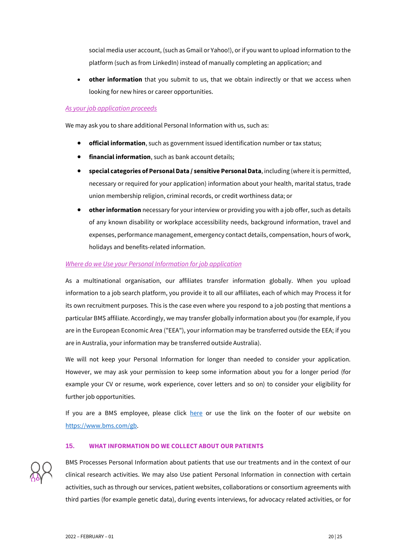social media user account, (such as Gmail or Yahoo!), or if you want to upload information to the platform (such as from LinkedIn) instead of manually completing an application; and

• **other information** that you submit to us, that we obtain indirectly or that we access when looking for new hires or career opportunities.

# *As your job application proceeds*

We may ask you to share additional Personal Information with us, such as:

- **official information**, such as government issued identification number or tax status;
- **financial information**, such as bank account details;
- **special categories of Personal Data / sensitive Personal Data**, including (where it is permitted, necessary or required for your application) information about your health, marital status, trade union membership religion, criminal records, or credit worthiness data; or
- **other information** necessary for your interview or providing you with a job offer, such as details of any known disability or workplace accessibility needs, background information, travel and expenses, performance management, emergency contact details, compensation, hours of work, holidays and benefits-related information.

# *Where do we Use your Personal Information for job application*

As a multinational organisation, our affiliates transfer information globally. When you upload information to a job search platform, you provide it to all our affiliates, each of which may Process it for its own recruitment purposes. This is the case even where you respond to a job posting that mentions a particular BMS affiliate. Accordingly, we may transfer globally information about you (for example, if you are in the European Economic Area ("EEA"), your information may be transferred outside the EEA; if you are in Australia, your information may be transferred outside Australia).

We will not keep your Personal Information for longer than needed to consider your application. However, we may ask your permission to keep some information about you for a longer period (for example your CV or resume, work experience, cover letters and so on) to consider your eligibility for further job opportunities.

If you are a BMS employee, please click [here](https://www.bms.com/assets/bms/united-kingdom/documents/UK%20BMS%20Data%20Privacy%20Notice%20%20-%20Updated%20070121.pdf) or use the link on the footer of our website on [https://www.bms.com/gb.](https://www.bms.com/gb)

# **15. WHAT INFORMATION DO WE COLLECT ABOUT OUR PATIENTS**



BMS Processes Personal Information about patients that use our treatments and in the context of our clinical research activities. We may also Use patient Personal Information in connection with certain activities, such as through our services, patient websites, collaborations or consortium agreements with third parties (for example genetic data), during events interviews, for advocacy related activities, or for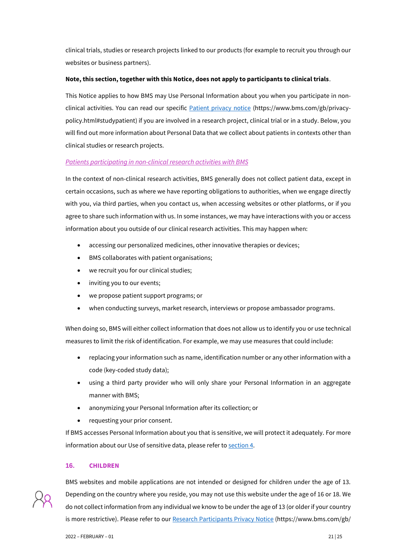clinical trials, studies or research projects linked to our products (for example to recruit you through our websites or business partners).

# **Note, this section, together with this Notice, does not apply to participants to clinical trials**.

This Notice applies to how BMS may Use Personal Information about you when you participate in non-clinical activities. You can read our specific [Patient privacy notice](https://www.bms.com/gb/privacy-policy.html#studypatient) (https://www.bms.com/gb/privacypolicy.html#studypatient) if you are involved in a research project, clinical trial or in a study. Below, you will find out more information about Personal Data that we collect about patients in contexts other than clinical studies or research projects.

# *Patients participating in non-clinical research activities with BMS*

In the context of non-clinical research activities, BMS generally does not collect patient data, except in certain occasions, such as where we have reporting obligations to authorities, when we engage directly with you, via third parties, when you contact us, when accessing websites or other platforms, or if you agree to share such information with us. In some instances, we may have interactions with you or access information about you outside of our clinical research activities. This may happen when:

- accessing our personalized medicines, other innovative therapies or devices;
- BMS collaborates with patient organisations;
- we recruit you for our clinical studies;
- inviting you to our events;
- we propose patient support programs; or
- when conducting surveys, market research, interviews or propose ambassador programs.

When doing so, BMS will either collect information that does not allow us to identify you or use technical measures to limit the risk of identification. For example, we may use measures that could include:

- replacing your information such as name, identification number or any other information with a code (key-coded study data);
- using a third party provider who will only share your Personal Information in an aggregate manner with BMS;
- anonymizing your Personal Information after its collection; or
- requesting your prior consent.

If BMS accesses Personal Information about you that is sensitive, we will protect it adequately. For more information about our Use of sensitive data, please refer t[o section](#page-3-0) 4.

# **16. CHILDREN**



BMS websites and mobile applications are not intended or designed for children under the age of 13. Depending on the country where you reside, you may not use this website under the age of 16 or 18. We do not collect information from any individual we know to be under the age of 13 (or older if your country is more restrictive). Please refer to ou[r Research Participants](https://www.bms.com/gb/privacy-policy.html#studypatient) Privacy Notice (https://www.bms.com/gb/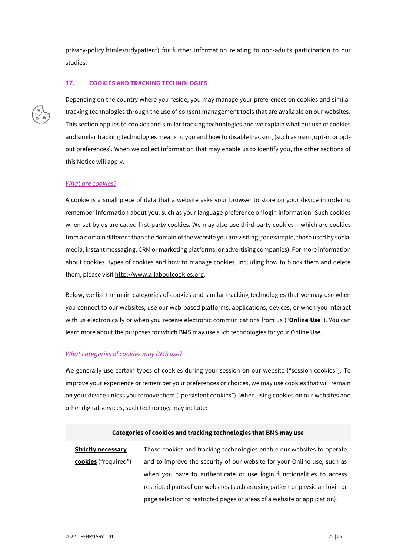privacy-policy.html#studypatient) for further information relating to non-adults participation to our studies.

# <span id="page-21-0"></span>**17. COOKIES AND TRACKING TECHNOLOGIES**



Depending on the country where you reside, you may manage your preferences on cookies and similar tracking technologies through the use of consent management tools that are available on our websites. This section applies to cookies and similar tracking technologies and we explain what our use of cookies and similar tracking technologies means to you and how to disable tracking (such as using opt-in or optout preferences). When we collect information that may enable us to identify you, the other sections of this Notice will apply.

# *What are cookies?*

A cookie is a small piece of data that a website asks your browser to store on your device in order to remember information about you, such as your language preference or login information. Such cookies when set by us are called first-party cookies. We may also use third-party cookies – which are cookies from a domain different than the domain of the website you are visiting (for example, those used by social media, instant messaging, CRM or marketing platforms, or advertising companies). For more information about cookies, types of cookies and how to manage cookies, including how to block them and delete them, please visit [http://www.allaboutcookies.org.](http://www.allaboutcookies.org/)

Below, we list the main categories of cookies and similar tracking technologies that we may use when you connect to our websites, use our web-based platforms, applications, devices, or when you interact with us electronically or when you receive electronic communications from us ("**Online Use**"). You can learn more about the purposes for which BMS may use such technologies for your Online Use.

# *What categories of cookies may BMS use?*

We generally use certain types of cookies during your session on our website ("session cookies"). To improve your experience or remember your preferences or choices, we may use cookies that will remain on your device unless you remove them ("persistent cookies"). When using cookies on our websites and other digital services, such technology may include:

| Categories of cookies and tracking technologies that BMS may use |                                                                               |  |
|------------------------------------------------------------------|-------------------------------------------------------------------------------|--|
| <b>Strictly necessary</b>                                        | Those cookies and tracking technologies enable our websites to operate        |  |
| cookies ("required")                                             | and to improve the security of our website for your Online use, such as       |  |
|                                                                  | when you have to authenticate or use login functionalities to access          |  |
|                                                                  | restricted parts of our websites (such as using patient or physician login or |  |
|                                                                  | page selection to restricted pages or areas of a website or application).     |  |
|                                                                  |                                                                               |  |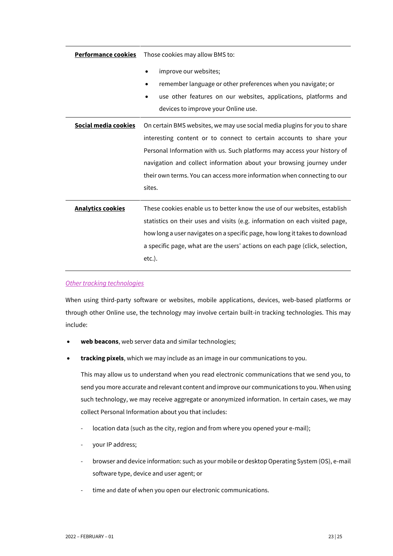| <b>Performance cookies</b> | Those cookies may allow BMS to:                                                                                                                                                                 |
|----------------------------|-------------------------------------------------------------------------------------------------------------------------------------------------------------------------------------------------|
|                            | improve our websites;<br>remember language or other preferences when you navigate; or<br>use other features on our websites, applications, platforms and<br>devices to improve your Online use. |
| Social media cookies       | On certain BMS websites, we may use social media plugins for you to share                                                                                                                       |
|                            | interesting content or to connect to certain accounts to share your                                                                                                                             |
|                            | Personal Information with us. Such platforms may access your history of                                                                                                                         |
|                            | navigation and collect information about your browsing journey under                                                                                                                            |
|                            | their own terms. You can access more information when connecting to our                                                                                                                         |
|                            | sites.                                                                                                                                                                                          |
| <b>Analytics cookies</b>   | These cookies enable us to better know the use of our websites, establish                                                                                                                       |
|                            | statistics on their uses and visits (e.g. information on each visited page,                                                                                                                     |
|                            | how long a user navigates on a specific page, how long it takes to download                                                                                                                     |
|                            | a specific page, what are the users' actions on each page (click, selection,                                                                                                                    |
|                            | $etc.$ ).                                                                                                                                                                                       |

*Other tracking technologies* 

When using third-party software or websites, mobile applications, devices, web-based platforms or through other Online use, the technology may involve certain built-in tracking technologies. This may include:

- **web beacons**, web server data and similar technologies;
- **tracking pixels**, which we may include as an image in our communications to you.

This may allow us to understand when you read electronic communications that we send you, to send you more accurate and relevant content and improve our communications to you. When using such technology, we may receive aggregate or anonymized information. In certain cases, we may collect Personal Information about you that includes:

- location data (such as the city, region and from where you opened your e-mail);
- your IP address;
- browser and device information: such as your mobile or desktop Operating System (OS), e-mail software type, device and user agent; or
- time and date of when you open our electronic communications.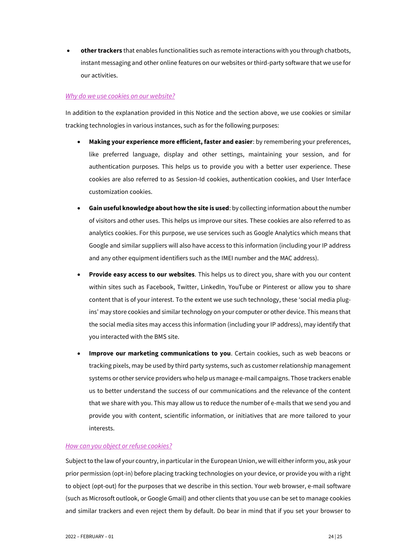• **other trackers** that enables functionalities such as remote interactions with you through chatbots, instant messaging and other online features on our websites or third-party software that we use for our activities.

# *Why do we use cookies on our website?*

In addition to the explanation provided in this Notice and the section above, we use cookies or similar tracking technologies in various instances, such as for the following purposes:

- **Making your experience more efficient, faster and easier**: by remembering your preferences, like preferred language, display and other settings, maintaining your session, and for authentication purposes. This helps us to provide you with a better user experience. These cookies are also referred to as Session-Id cookies, authentication cookies, and User Interface customization cookies.
- **Gain useful knowledge about how the site is used**: by collecting information about the number of visitors and other uses. This helps us improve our sites. These cookies are also referred to as analytics cookies. For this purpose, we use services such as Google Analytics which means that Google and similar suppliers will also have access to this information (including your IP address and any other equipment identifiers such as the IMEI number and the MAC address).
- **Provide easy access to our websites**. This helps us to direct you, share with you our content within sites such as Facebook, Twitter, LinkedIn, YouTube or Pinterest or allow you to share content that is of your interest. To the extent we use such technology, these 'social media plugins' may store cookies and similar technology on your computer or other device. This means that the social media sites may access this information (including your IP address), may identify that you interacted with the BMS site.
- **Improve our marketing communications to you**. Certain cookies, such as web beacons or tracking pixels, may be used by third party systems, such as customer relationship management systems or other service providers who help us manage e-mail campaigns. Those trackers enable us to better understand the success of our communications and the relevance of the content that we share with you. This may allow us to reduce the number of e-mails that we send you and provide you with content, scientific information, or initiatives that are more tailored to your interests.

# *How can you object or refuse cookies?*

Subject to the law of your country, in particular in the European Union, we will either inform you, ask your prior permission (opt-in) before placing tracking technologies on your device, or provide you with a right to object (opt-out) for the purposes that we describe in this section. Your web browser, e-mail software (such as Microsoft outlook, or Google Gmail) and other clients that you use can be set to manage cookies and similar trackers and even reject them by default. Do bear in mind that if you set your browser to